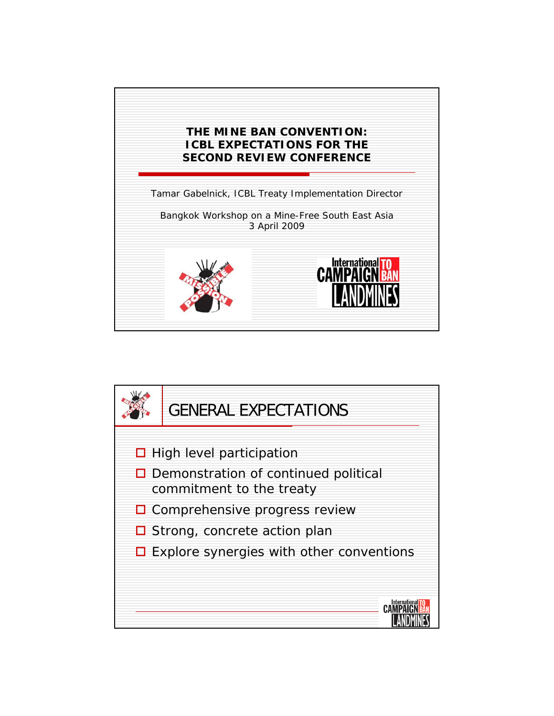

CAMP!

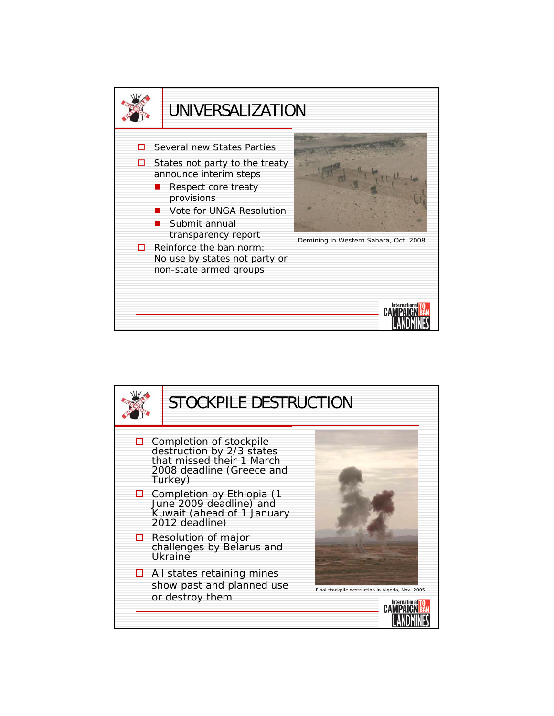

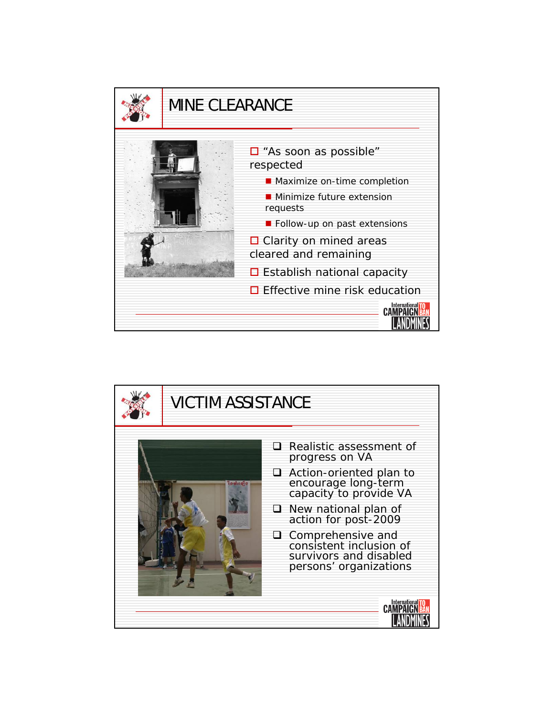